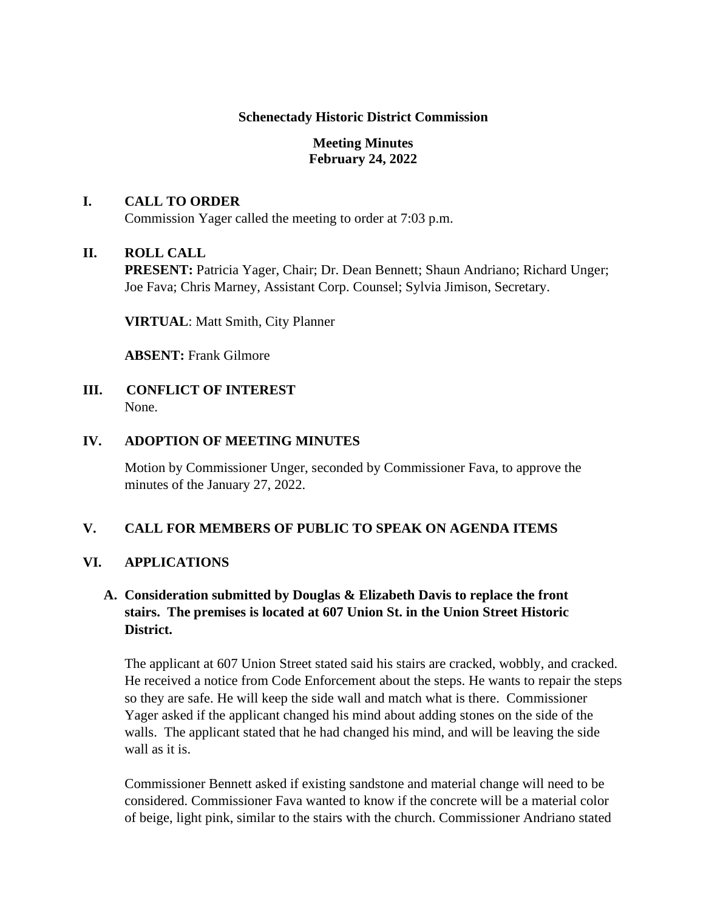#### **Schenectady Historic District Commission**

## **Meeting Minutes February 24, 2022**

## **I. CALL TO ORDER**

Commission Yager called the meeting to order at 7:03 p.m.

## **II. ROLL CALL**

**PRESENT:** Patricia Yager, Chair; Dr. Dean Bennett; Shaun Andriano; Richard Unger; Joe Fava; Chris Marney, Assistant Corp. Counsel; Sylvia Jimison, Secretary.

**VIRTUAL**: Matt Smith, City Planner

**ABSENT:** Frank Gilmore

**III. CONFLICT OF INTEREST**  None.

#### **IV. ADOPTION OF MEETING MINUTES**

Motion by Commissioner Unger, seconded by Commissioner Fava, to approve the minutes of the January 27, 2022.

## **V. CALL FOR MEMBERS OF PUBLIC TO SPEAK ON AGENDA ITEMS**

## **VI. APPLICATIONS**

## **A. Consideration submitted by Douglas & Elizabeth Davis to replace the front stairs. The premises is located at 607 Union St. in the Union Street Historic District.**

The applicant at 607 Union Street stated said his stairs are cracked, wobbly, and cracked. He received a notice from Code Enforcement about the steps. He wants to repair the steps so they are safe. He will keep the side wall and match what is there. Commissioner Yager asked if the applicant changed his mind about adding stones on the side of the walls. The applicant stated that he had changed his mind, and will be leaving the side wall as it is.

Commissioner Bennett asked if existing sandstone and material change will need to be considered. Commissioner Fava wanted to know if the concrete will be a material color of beige, light pink, similar to the stairs with the church. Commissioner Andriano stated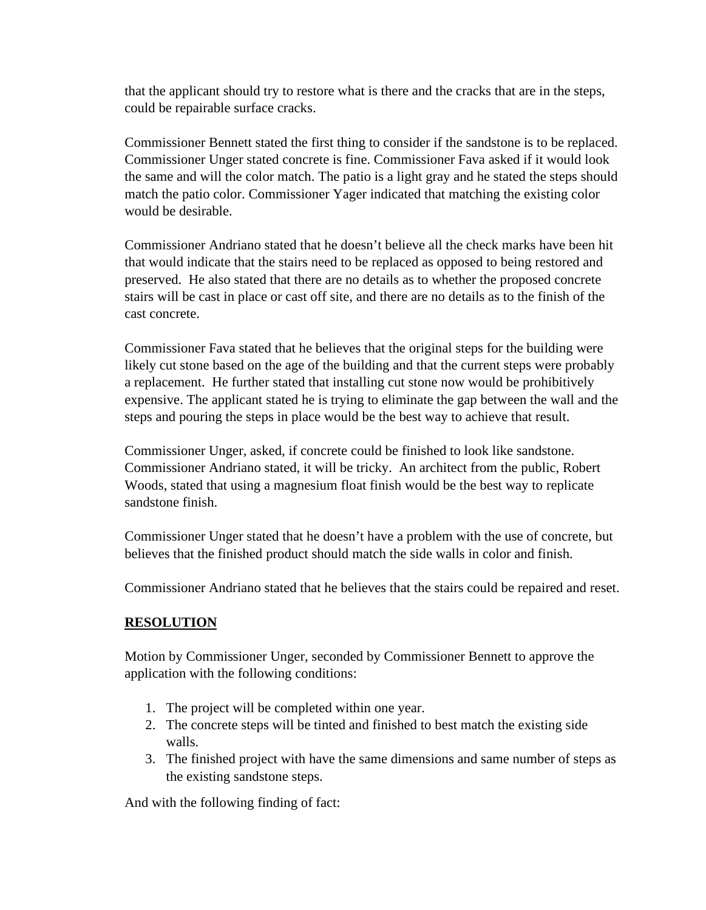that the applicant should try to restore what is there and the cracks that are in the steps, could be repairable surface cracks.

Commissioner Bennett stated the first thing to consider if the sandstone is to be replaced. Commissioner Unger stated concrete is fine. Commissioner Fava asked if it would look the same and will the color match. The patio is a light gray and he stated the steps should match the patio color. Commissioner Yager indicated that matching the existing color would be desirable.

Commissioner Andriano stated that he doesn't believe all the check marks have been hit that would indicate that the stairs need to be replaced as opposed to being restored and preserved. He also stated that there are no details as to whether the proposed concrete stairs will be cast in place or cast off site, and there are no details as to the finish of the cast concrete.

Commissioner Fava stated that he believes that the original steps for the building were likely cut stone based on the age of the building and that the current steps were probably a replacement. He further stated that installing cut stone now would be prohibitively expensive. The applicant stated he is trying to eliminate the gap between the wall and the steps and pouring the steps in place would be the best way to achieve that result.

Commissioner Unger, asked, if concrete could be finished to look like sandstone. Commissioner Andriano stated, it will be tricky. An architect from the public, Robert Woods, stated that using a magnesium float finish would be the best way to replicate sandstone finish.

Commissioner Unger stated that he doesn't have a problem with the use of concrete, but believes that the finished product should match the side walls in color and finish.

Commissioner Andriano stated that he believes that the stairs could be repaired and reset.

## **RESOLUTION**

Motion by Commissioner Unger, seconded by Commissioner Bennett to approve the application with the following conditions:

- 1. The project will be completed within one year.
- 2. The concrete steps will be tinted and finished to best match the existing side walls.
- 3. The finished project with have the same dimensions and same number of steps as the existing sandstone steps.

And with the following finding of fact: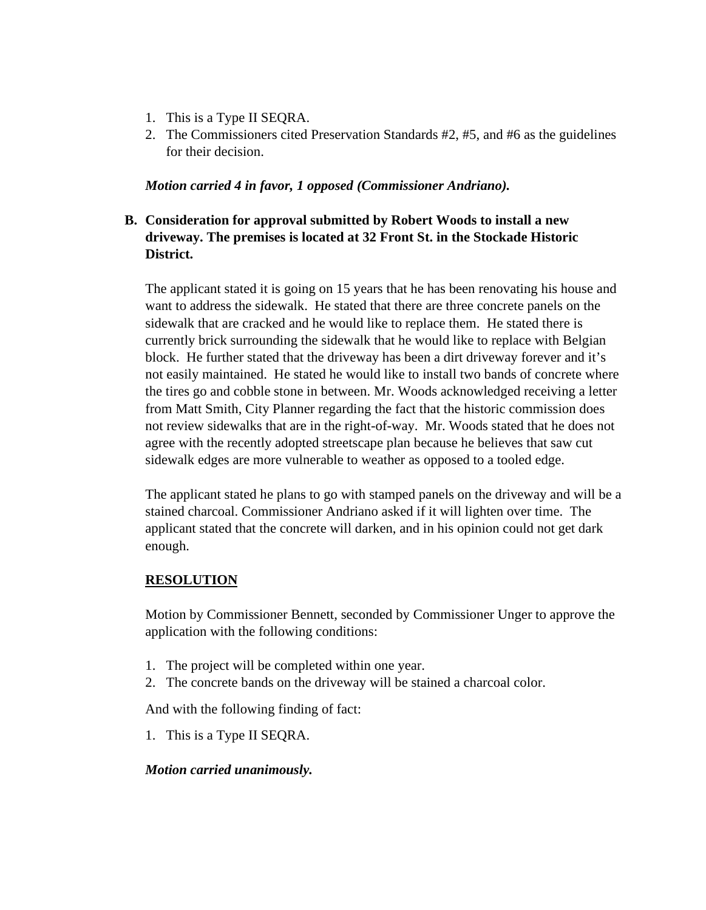- 1. This is a Type II SEQRA.
- 2. The Commissioners cited Preservation Standards #2, #5, and #6 as the guidelines for their decision.

*Motion carried 4 in favor, 1 opposed (Commissioner Andriano).* 

# **B. Consideration for approval submitted by Robert Woods to install a new driveway. The premises is located at 32 Front St. in the Stockade Historic District.**

The applicant stated it is going on 15 years that he has been renovating his house and want to address the sidewalk. He stated that there are three concrete panels on the sidewalk that are cracked and he would like to replace them. He stated there is currently brick surrounding the sidewalk that he would like to replace with Belgian block. He further stated that the driveway has been a dirt driveway forever and it's not easily maintained. He stated he would like to install two bands of concrete where the tires go and cobble stone in between. Mr. Woods acknowledged receiving a letter from Matt Smith, City Planner regarding the fact that the historic commission does not review sidewalks that are in the right-of-way. Mr. Woods stated that he does not agree with the recently adopted streetscape plan because he believes that saw cut sidewalk edges are more vulnerable to weather as opposed to a tooled edge.

The applicant stated he plans to go with stamped panels on the driveway and will be a stained charcoal. Commissioner Andriano asked if it will lighten over time. The applicant stated that the concrete will darken, and in his opinion could not get dark enough.

# **RESOLUTION**

Motion by Commissioner Bennett, seconded by Commissioner Unger to approve the application with the following conditions:

- 1. The project will be completed within one year.
- 2. The concrete bands on the driveway will be stained a charcoal color.

And with the following finding of fact:

1. This is a Type II SEQRA.

## *Motion carried unanimously.*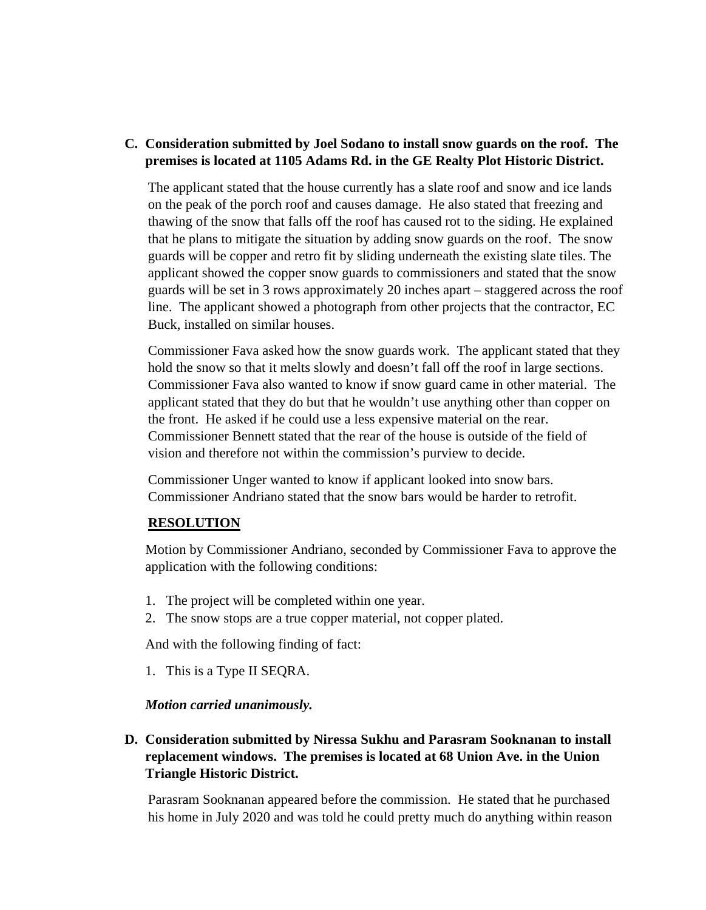## **C. Consideration submitted by Joel Sodano to install snow guards on the roof. The premises is located at 1105 Adams Rd. in the GE Realty Plot Historic District.**

The applicant stated that the house currently has a slate roof and snow and ice lands on the peak of the porch roof and causes damage. He also stated that freezing and thawing of the snow that falls off the roof has caused rot to the siding. He explained that he plans to mitigate the situation by adding snow guards on the roof. The snow guards will be copper and retro fit by sliding underneath the existing slate tiles. The applicant showed the copper snow guards to commissioners and stated that the snow guards will be set in 3 rows approximately 20 inches apart – staggered across the roof line. The applicant showed a photograph from other projects that the contractor, EC Buck, installed on similar houses.

Commissioner Fava asked how the snow guards work. The applicant stated that they hold the snow so that it melts slowly and doesn't fall off the roof in large sections. Commissioner Fava also wanted to know if snow guard came in other material. The applicant stated that they do but that he wouldn't use anything other than copper on the front. He asked if he could use a less expensive material on the rear. Commissioner Bennett stated that the rear of the house is outside of the field of vision and therefore not within the commission's purview to decide.

Commissioner Unger wanted to know if applicant looked into snow bars. Commissioner Andriano stated that the snow bars would be harder to retrofit.

## **RESOLUTION**

Motion by Commissioner Andriano, seconded by Commissioner Fava to approve the application with the following conditions:

- 1. The project will be completed within one year.
- 2. The snow stops are a true copper material, not copper plated.

And with the following finding of fact:

1. This is a Type II SEQRA.

#### *Motion carried unanimously.*

## **D. Consideration submitted by Niressa Sukhu and Parasram Sooknanan to install replacement windows. The premises is located at 68 Union Ave. in the Union Triangle Historic District.**

Parasram Sooknanan appeared before the commission. He stated that he purchased his home in July 2020 and was told he could pretty much do anything within reason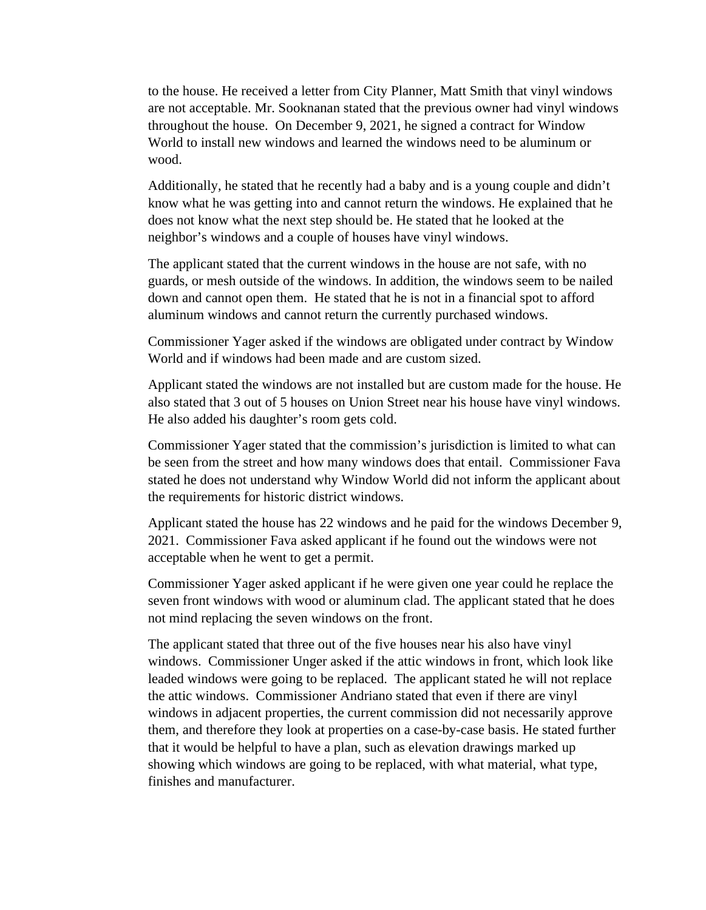to the house. He received a letter from City Planner, Matt Smith that vinyl windows are not acceptable. Mr. Sooknanan stated that the previous owner had vinyl windows throughout the house. On December 9, 2021, he signed a contract for Window World to install new windows and learned the windows need to be aluminum or wood.

Additionally, he stated that he recently had a baby and is a young couple and didn't know what he was getting into and cannot return the windows. He explained that he does not know what the next step should be. He stated that he looked at the neighbor's windows and a couple of houses have vinyl windows.

The applicant stated that the current windows in the house are not safe, with no guards, or mesh outside of the windows. In addition, the windows seem to be nailed down and cannot open them. He stated that he is not in a financial spot to afford aluminum windows and cannot return the currently purchased windows.

Commissioner Yager asked if the windows are obligated under contract by Window World and if windows had been made and are custom sized.

Applicant stated the windows are not installed but are custom made for the house. He also stated that 3 out of 5 houses on Union Street near his house have vinyl windows. He also added his daughter's room gets cold.

Commissioner Yager stated that the commission's jurisdiction is limited to what can be seen from the street and how many windows does that entail. Commissioner Fava stated he does not understand why Window World did not inform the applicant about the requirements for historic district windows.

Applicant stated the house has 22 windows and he paid for the windows December 9, 2021. Commissioner Fava asked applicant if he found out the windows were not acceptable when he went to get a permit.

Commissioner Yager asked applicant if he were given one year could he replace the seven front windows with wood or aluminum clad. The applicant stated that he does not mind replacing the seven windows on the front.

The applicant stated that three out of the five houses near his also have vinyl windows. Commissioner Unger asked if the attic windows in front, which look like leaded windows were going to be replaced. The applicant stated he will not replace the attic windows. Commissioner Andriano stated that even if there are vinyl windows in adjacent properties, the current commission did not necessarily approve them, and therefore they look at properties on a case-by-case basis. He stated further that it would be helpful to have a plan, such as elevation drawings marked up showing which windows are going to be replaced, with what material, what type, finishes and manufacturer.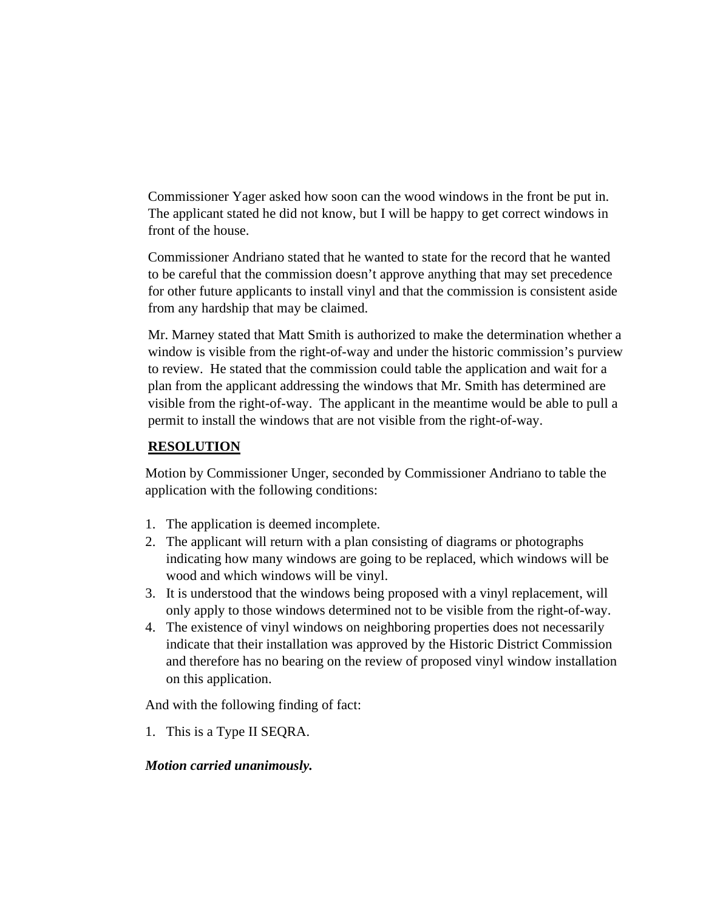Commissioner Yager asked how soon can the wood windows in the front be put in. The applicant stated he did not know, but I will be happy to get correct windows in front of the house.

Commissioner Andriano stated that he wanted to state for the record that he wanted to be careful that the commission doesn't approve anything that may set precedence for other future applicants to install vinyl and that the commission is consistent aside from any hardship that may be claimed.

Mr. Marney stated that Matt Smith is authorized to make the determination whether a window is visible from the right-of-way and under the historic commission's purview to review. He stated that the commission could table the application and wait for a plan from the applicant addressing the windows that Mr. Smith has determined are visible from the right-of-way. The applicant in the meantime would be able to pull a permit to install the windows that are not visible from the right-of-way.

## **RESOLUTION**

Motion by Commissioner Unger, seconded by Commissioner Andriano to table the application with the following conditions:

- 1. The application is deemed incomplete.
- 2. The applicant will return with a plan consisting of diagrams or photographs indicating how many windows are going to be replaced, which windows will be wood and which windows will be vinyl.
- 3. It is understood that the windows being proposed with a vinyl replacement, will only apply to those windows determined not to be visible from the right-of-way.
- 4. The existence of vinyl windows on neighboring properties does not necessarily indicate that their installation was approved by the Historic District Commission and therefore has no bearing on the review of proposed vinyl window installation on this application.

And with the following finding of fact:

1. This is a Type II SEQRA.

#### *Motion carried unanimously.*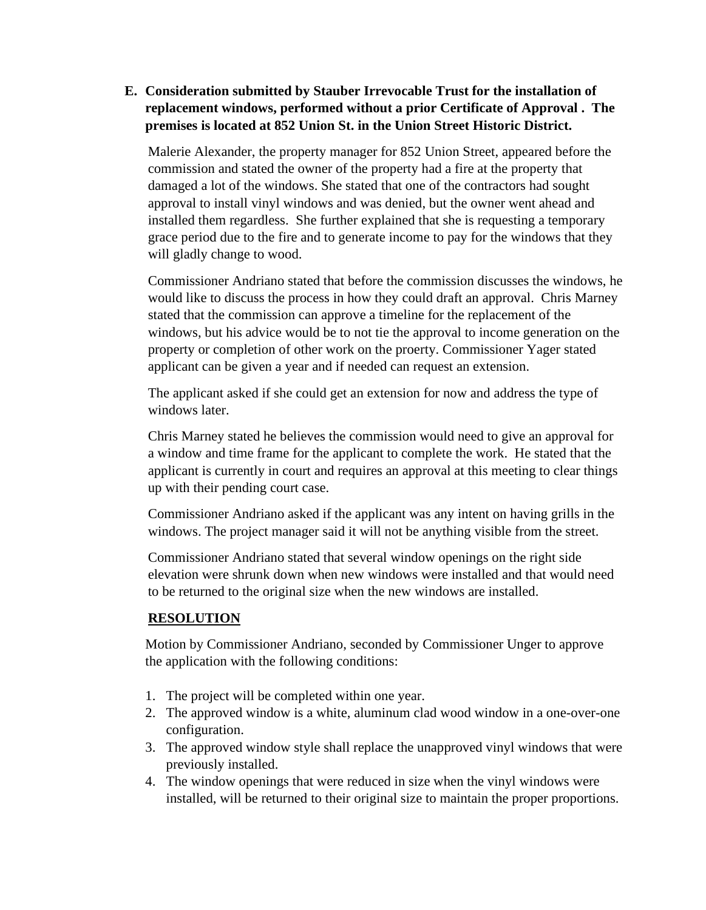## **E. Consideration submitted by Stauber Irrevocable Trust for the installation of replacement windows, performed without a prior Certificate of Approval . The premises is located at 852 Union St. in the Union Street Historic District.**

Malerie Alexander, the property manager for 852 Union Street, appeared before the commission and stated the owner of the property had a fire at the property that damaged a lot of the windows. She stated that one of the contractors had sought approval to install vinyl windows and was denied, but the owner went ahead and installed them regardless. She further explained that she is requesting a temporary grace period due to the fire and to generate income to pay for the windows that they will gladly change to wood.

Commissioner Andriano stated that before the commission discusses the windows, he would like to discuss the process in how they could draft an approval. Chris Marney stated that the commission can approve a timeline for the replacement of the windows, but his advice would be to not tie the approval to income generation on the property or completion of other work on the proerty. Commissioner Yager stated applicant can be given a year and if needed can request an extension.

The applicant asked if she could get an extension for now and address the type of windows later.

Chris Marney stated he believes the commission would need to give an approval for a window and time frame for the applicant to complete the work. He stated that the applicant is currently in court and requires an approval at this meeting to clear things up with their pending court case.

Commissioner Andriano asked if the applicant was any intent on having grills in the windows. The project manager said it will not be anything visible from the street.

Commissioner Andriano stated that several window openings on the right side elevation were shrunk down when new windows were installed and that would need to be returned to the original size when the new windows are installed.

# **RESOLUTION**

Motion by Commissioner Andriano, seconded by Commissioner Unger to approve the application with the following conditions:

- 1. The project will be completed within one year.
- 2. The approved window is a white, aluminum clad wood window in a one-over-one configuration.
- 3. The approved window style shall replace the unapproved vinyl windows that were previously installed.
- 4. The window openings that were reduced in size when the vinyl windows were installed, will be returned to their original size to maintain the proper proportions.